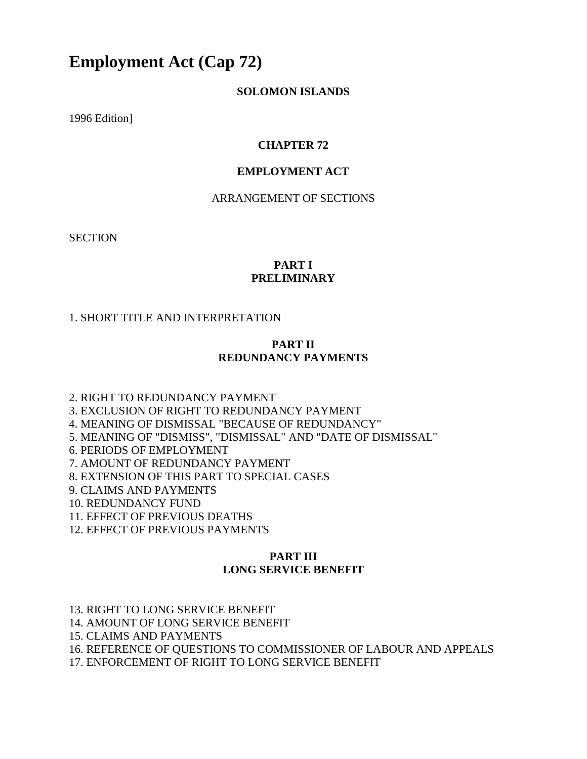# **Employment Act (Cap 72)**

#### **SOLOMON ISLANDS**

1996 Edition]

#### **CHAPTER 72**

#### **EMPLOYMENT ACT**

#### ARRANGEMENT OF SECTIONS

**SECTION** 

#### **PART I PRELIMINARY**

#### 1. SHORT TITLE AND INTERPRETATION

#### **PART II REDUNDANCY PAYMENTS**

2. RIGHT TO REDUNDANCY PAYMENT

3. EXCLUSION OF RIGHT TO REDUNDANCY PAYMENT

4. MEANING OF DISMISSAL "BECAUSE OF REDUNDANCY"

5. MEANING OF "DISMISS", "DISMISSAL" AND "DATE OF DISMISSAL"

6. PERIODS OF EMPLOYMENT

7. AMOUNT OF REDUNDANCY PAYMENT

8. EXTENSION OF THIS PART TO SPECIAL CASES

9. CLAIMS AND PAYMENTS

10. REDUNDANCY FUND

11. EFFECT OF PREVIOUS DEATHS

12. EFFECT OF PREVIOUS PAYMENTS

#### **PART III LONG SERVICE BENEFIT**

13. RIGHT TO LONG SERVICE BENEFIT

14. AMOUNT OF LONG SERVICE BENEFIT

15. CLAIMS AND PAYMENTS

16. REFERENCE OF QUESTIONS TO COMMISSIONER OF LABOUR AND APPEALS

17. ENFORCEMENT OF RIGHT TO LONG SERVICE BENEFIT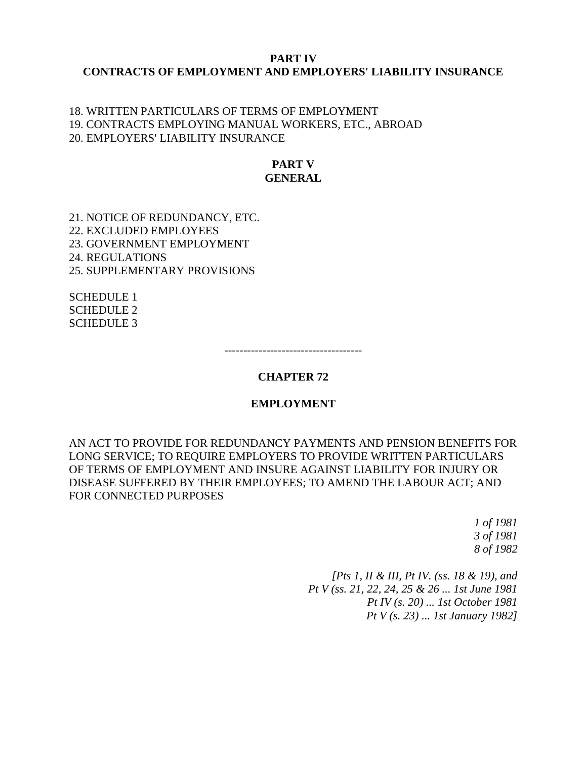#### **PART IV CONTRACTS OF EMPLOYMENT AND EMPLOYERS' LIABILITY INSURANCE**

#### 18. WRITTEN PARTICULARS OF TERMS OF EMPLOYMENT 19. CONTRACTS EMPLOYING MANUAL WORKERS, ETC., ABROAD 20. EMPLOYERS' LIABILITY INSURANCE

#### **PART V GENERAL**

21. NOTICE OF REDUNDANCY, ETC. 22. EXCLUDED EMPLOYEES 23. GOVERNMENT EMPLOYMENT 24. REGULATIONS 25. SUPPLEMENTARY PROVISIONS

SCHEDULE 1 SCHEDULE 2 SCHEDULE 3

------------------------------------

#### **CHAPTER 72**

#### **EMPLOYMENT**

AN ACT TO PROVIDE FOR REDUNDANCY PAYMENTS AND PENSION BENEFITS FOR LONG SERVICE; TO REQUIRE EMPLOYERS TO PROVIDE WRITTEN PARTICULARS OF TERMS OF EMPLOYMENT AND INSURE AGAINST LIABILITY FOR INJURY OR DISEASE SUFFERED BY THEIR EMPLOYEES; TO AMEND THE LABOUR ACT; AND FOR CONNECTED PURPOSES

> *1 of 1981 3 of 1981 8 of 1982*

*[Pts 1, II & III, Pt IV. (ss. 18 & 19), and Pt V (ss. 21, 22, 24, 25 & 26 ... 1st June 1981 Pt IV (s. 20) ... 1st October 1981 Pt V (s. 23) ... 1st January 1982]*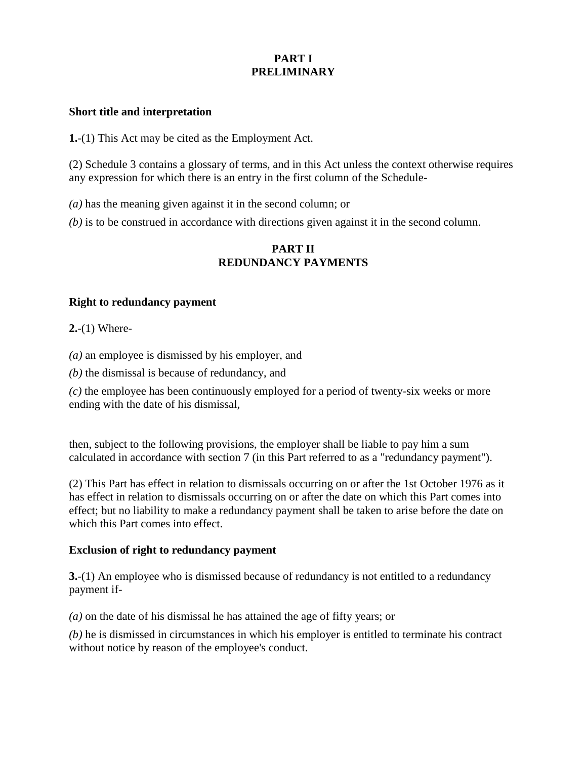## **PART I PRELIMINARY**

#### **Short title and interpretation**

**1.**-(1) This Act may be cited as the Employment Act.

(2) Schedule 3 contains a glossary of terms, and in this Act unless the context otherwise requires any expression for which there is an entry in the first column of the Schedule-

*(a)* has the meaning given against it in the second column; or

*(b)* is to be construed in accordance with directions given against it in the second column.

#### **PART II REDUNDANCY PAYMENTS**

#### **Right to redundancy payment**

**2.**-(1) Where-

*(a)* an employee is dismissed by his employer, and

*(b)* the dismissal is because of redundancy, and

*(c)* the employee has been continuously employed for a period of twenty-six weeks or more ending with the date of his dismissal,

then, subject to the following provisions, the employer shall be liable to pay him a sum calculated in accordance with section 7 (in this Part referred to as a "redundancy payment").

(2) This Part has effect in relation to dismissals occurring on or after the 1st October 1976 as it has effect in relation to dismissals occurring on or after the date on which this Part comes into effect; but no liability to make a redundancy payment shall be taken to arise before the date on which this Part comes into effect.

#### **Exclusion of right to redundancy payment**

**3.**-(1) An employee who is dismissed because of redundancy is not entitled to a redundancy payment if-

*(a)* on the date of his dismissal he has attained the age of fifty years; or

*(b)* he is dismissed in circumstances in which his employer is entitled to terminate his contract without notice by reason of the employee's conduct.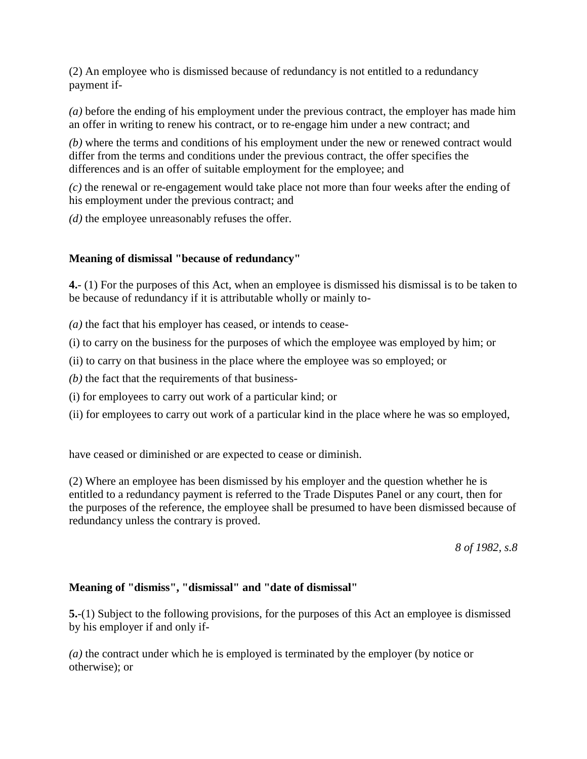(2) An employee who is dismissed because of redundancy is not entitled to a redundancy payment if-

*(a)* before the ending of his employment under the previous contract, the employer has made him an offer in writing to renew his contract, or to re-engage him under a new contract; and

*(b)* where the terms and conditions of his employment under the new or renewed contract would differ from the terms and conditions under the previous contract, the offer specifies the differences and is an offer of suitable employment for the employee; and

*(c)* the renewal or re-engagement would take place not more than four weeks after the ending of his employment under the previous contract; and

*(d)* the employee unreasonably refuses the offer.

### **Meaning of dismissal "because of redundancy"**

**4.**- (1) For the purposes of this Act, when an employee is dismissed his dismissal is to be taken to be because of redundancy if it is attributable wholly or mainly to-

*(a)* the fact that his employer has ceased, or intends to cease-

(i) to carry on the business for the purposes of which the employee was employed by him; or

(ii) to carry on that business in the place where the employee was so employed; or

*(b)* the fact that the requirements of that business-

(i) for employees to carry out work of a particular kind; or

(ii) for employees to carry out work of a particular kind in the place where he was so employed,

have ceased or diminished or are expected to cease or diminish.

(2) Where an employee has been dismissed by his employer and the question whether he is entitled to a redundancy payment is referred to the Trade Disputes Panel or any court, then for the purposes of the reference, the employee shall be presumed to have been dismissed because of redundancy unless the contrary is proved.

*8 of 1982, s.8*

### **Meaning of "dismiss", "dismissal" and "date of dismissal"**

**5.**-(1) Subject to the following provisions, for the purposes of this Act an employee is dismissed by his employer if and only if-

*(a)* the contract under which he is employed is terminated by the employer (by notice or otherwise); or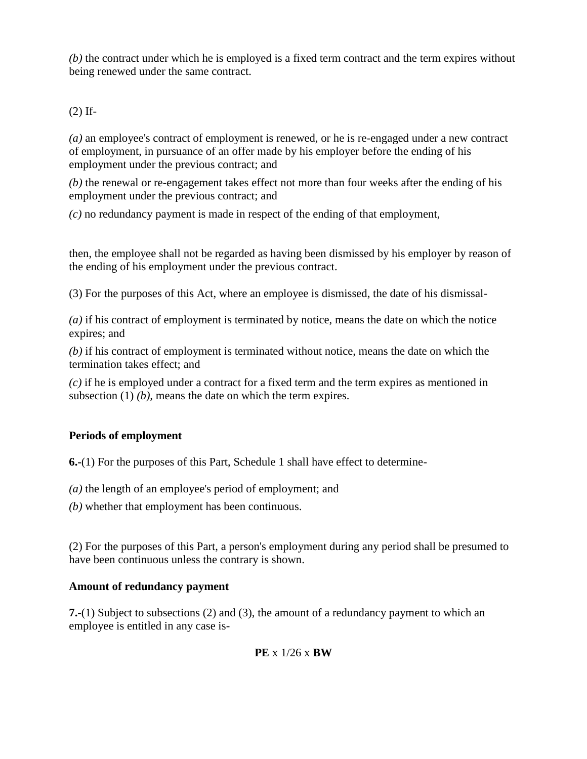*(b)* the contract under which he is employed is a fixed term contract and the term expires without being renewed under the same contract.

(2) If-

*(a)* an employee's contract of employment is renewed, or he is re-engaged under a new contract of employment, in pursuance of an offer made by his employer before the ending of his employment under the previous contract; and

*(b)* the renewal or re-engagement takes effect not more than four weeks after the ending of his employment under the previous contract; and

*(c)* no redundancy payment is made in respect of the ending of that employment,

then, the employee shall not be regarded as having been dismissed by his employer by reason of the ending of his employment under the previous contract.

(3) For the purposes of this Act, where an employee is dismissed, the date of his dismissal-

*(a)* if his contract of employment is terminated by notice, means the date on which the notice expires; and

*(b)* if his contract of employment is terminated without notice, means the date on which the termination takes effect; and

*(c)* if he is employed under a contract for a fixed term and the term expires as mentioned in subsection (1) *(b)*, means the date on which the term expires.

## **Periods of employment**

**6.-**(1) For the purposes of this Part, Schedule 1 shall have effect to determine-

*(a)* the length of an employee's period of employment; and

*(b)* whether that employment has been continuous.

(2) For the purposes of this Part, a person's employment during any period shall be presumed to have been continuous unless the contrary is shown.

## **Amount of redundancy payment**

**7.**-(1) Subject to subsections (2) and (3), the amount of a redundancy payment to which an employee is entitled in any case is-

## **PE** x 1/26 x **BW**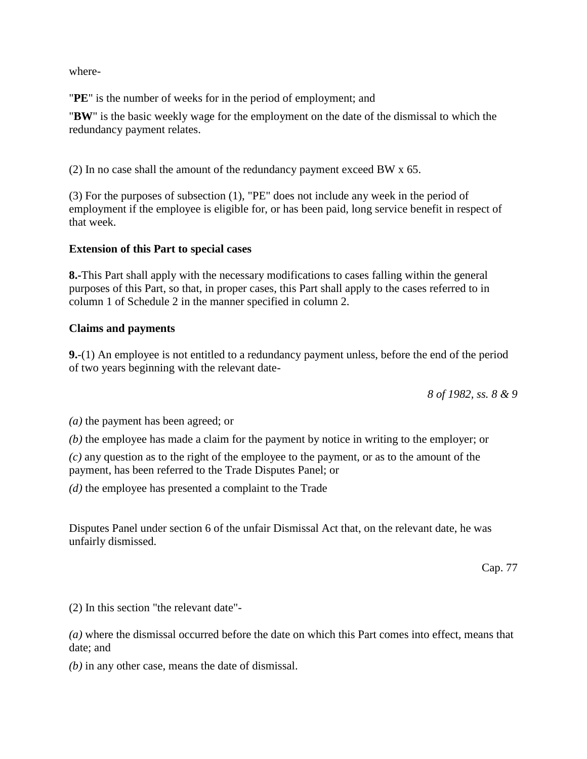where-

"**PE**" is the number of weeks for in the period of employment; and

"**BW**" is the basic weekly wage for the employment on the date of the dismissal to which the redundancy payment relates.

(2) In no case shall the amount of the redundancy payment exceed BW x 65.

(3) For the purposes of subsection (1), "PE" does not include any week in the period of employment if the employee is eligible for, or has been paid, long service benefit in respect of that week.

### **Extension of this Part to special cases**

**8.-**This Part shall apply with the necessary modifications to cases falling within the general purposes of this Part, so that, in proper cases, this Part shall apply to the cases referred to in column 1 of Schedule 2 in the manner specified in column 2.

#### **Claims and payments**

**9.**-(1) An employee is not entitled to a redundancy payment unless, before the end of the period of two years beginning with the relevant date-

*8 of 1982, ss. 8 & 9*

*(a)* the payment has been agreed; or

*(b)* the employee has made a claim for the payment by notice in writing to the employer; or

*(c)* any question as to the right of the employee to the payment, or as to the amount of the payment, has been referred to the Trade Disputes Panel; or

*(d)* the employee has presented a complaint to the Trade

Disputes Panel under section 6 of the unfair Dismissal Act that, on the relevant date, he was unfairly dismissed.

Cap. 77

(2) In this section "the relevant date"-

*(a)* where the dismissal occurred before the date on which this Part comes into effect, means that date; and

*(b)* in any other case, means the date of dismissal.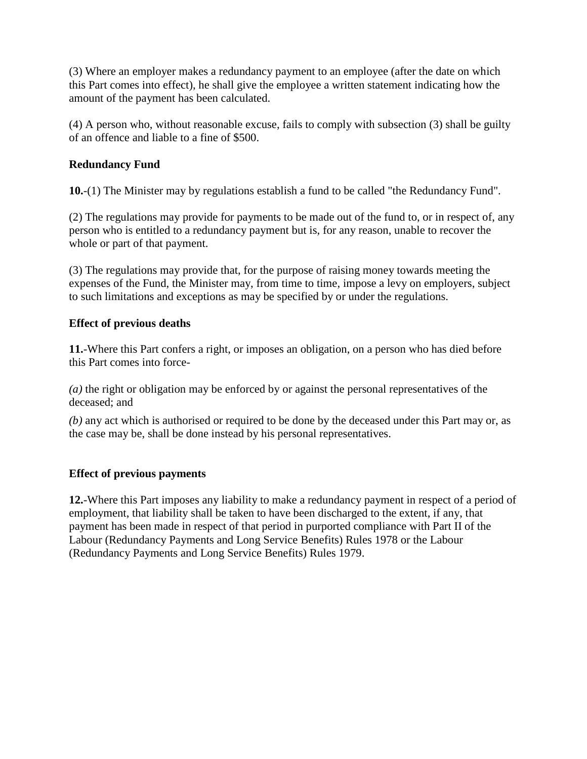(3) Where an employer makes a redundancy payment to an employee (after the date on which this Part comes into effect), he shall give the employee a written statement indicating how the amount of the payment has been calculated.

(4) A person who, without reasonable excuse, fails to comply with subsection (3) shall be guilty of an offence and liable to a fine of \$500.

## **Redundancy Fund**

**10.**-(1) The Minister may by regulations establish a fund to be called "the Redundancy Fund".

(2) The regulations may provide for payments to be made out of the fund to, or in respect of, any person who is entitled to a redundancy payment but is, for any reason, unable to recover the whole or part of that payment.

(3) The regulations may provide that, for the purpose of raising money towards meeting the expenses of the Fund, the Minister may, from time to time, impose a levy on employers, subject to such limitations and exceptions as may be specified by or under the regulations.

## **Effect of previous deaths**

**11.**-Where this Part confers a right, or imposes an obligation, on a person who has died before this Part comes into force-

*(a)* the right or obligation may be enforced by or against the personal representatives of the deceased; and

*(b)* any act which is authorised or required to be done by the deceased under this Part may or, as the case may be, shall be done instead by his personal representatives.

## **Effect of previous payments**

**12.**-Where this Part imposes any liability to make a redundancy payment in respect of a period of employment, that liability shall be taken to have been discharged to the extent, if any, that payment has been made in respect of that period in purported compliance with Part II of the Labour (Redundancy Payments and Long Service Benefits) Rules 1978 or the Labour (Redundancy Payments and Long Service Benefits) Rules 1979.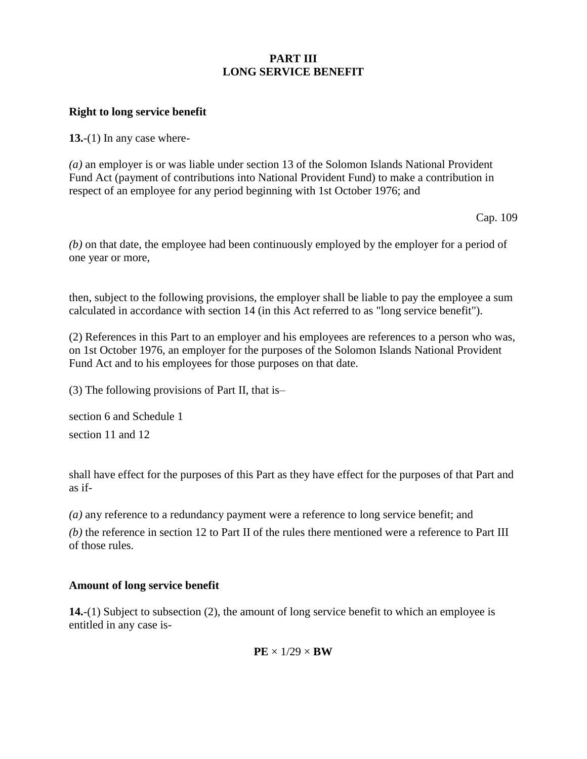### **PART III LONG SERVICE BENEFIT**

#### **Right to long service benefit**

**13.**-(1) In any case where-

*(a)* an employer is or was liable under section 13 of the Solomon Islands National Provident Fund Act (payment of contributions into National Provident Fund) to make a contribution in respect of an employee for any period beginning with 1st October 1976; and

Cap. 109

*(b)* on that date, the employee had been continuously employed by the employer for a period of one year or more,

then, subject to the following provisions, the employer shall be liable to pay the employee a sum calculated in accordance with section 14 (in this Act referred to as "long service benefit").

(2) References in this Part to an employer and his employees are references to a person who was, on 1st October 1976, an employer for the purposes of the Solomon Islands National Provident Fund Act and to his employees for those purposes on that date.

(3) The following provisions of Part II, that is–

section 6 and Schedule 1 section 11 and 12

shall have effect for the purposes of this Part as they have effect for the purposes of that Part and as if-

*(a)* any reference to a redundancy payment were a reference to long service benefit; and

*(b)* the reference in section 12 to Part II of the rules there mentioned were a reference to Part III of those rules.

#### **Amount of long service benefit**

**14.**-(1) Subject to subsection (2), the amount of long service benefit to which an employee is entitled in any case is-

 $PE \times 1/29 \times BW$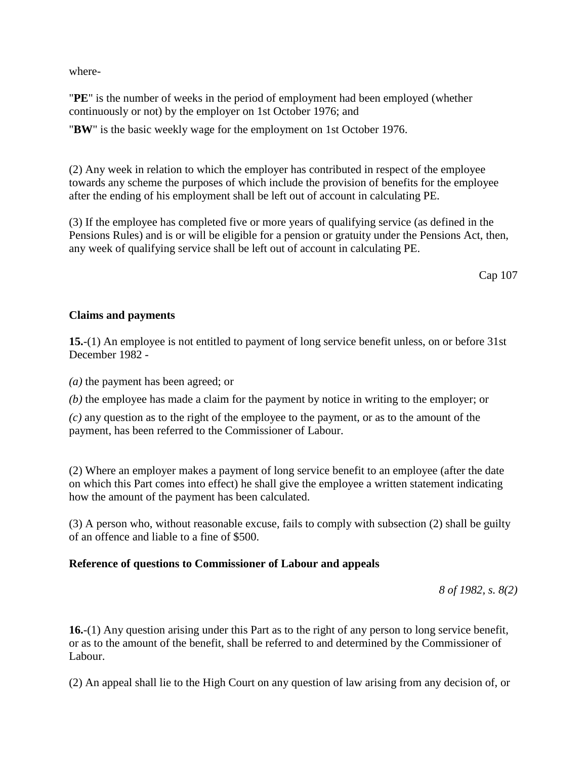where-

"**PE**" is the number of weeks in the period of employment had been employed (whether continuously or not) by the employer on 1st October 1976; and

"**BW**" is the basic weekly wage for the employment on 1st October 1976.

(2) Any week in relation to which the employer has contributed in respect of the employee towards any scheme the purposes of which include the provision of benefits for the employee after the ending of his employment shall be left out of account in calculating PE.

(3) If the employee has completed five or more years of qualifying service (as defined in the Pensions Rules) and is or will be eligible for a pension or gratuity under the Pensions Act, then, any week of qualifying service shall be left out of account in calculating PE.

Cap 107

#### **Claims and payments**

**15.**-(1) An employee is not entitled to payment of long service benefit unless, on or before 31st December 1982 -

*(a)* the payment has been agreed; or

*(b)* the employee has made a claim for the payment by notice in writing to the employer; or

*(c)* any question as to the right of the employee to the payment, or as to the amount of the payment, has been referred to the Commissioner of Labour.

(2) Where an employer makes a payment of long service benefit to an employee (after the date on which this Part comes into effect) he shall give the employee a written statement indicating how the amount of the payment has been calculated.

(3) A person who, without reasonable excuse, fails to comply with subsection (2) shall be guilty of an offence and liable to a fine of \$500.

### **Reference of questions to Commissioner of Labour and appeals**

*8 of 1982, s. 8(2)*

**16.**-(1) Any question arising under this Part as to the right of any person to long service benefit, or as to the amount of the benefit, shall be referred to and determined by the Commissioner of Labour.

(2) An appeal shall lie to the High Court on any question of law arising from any decision of, or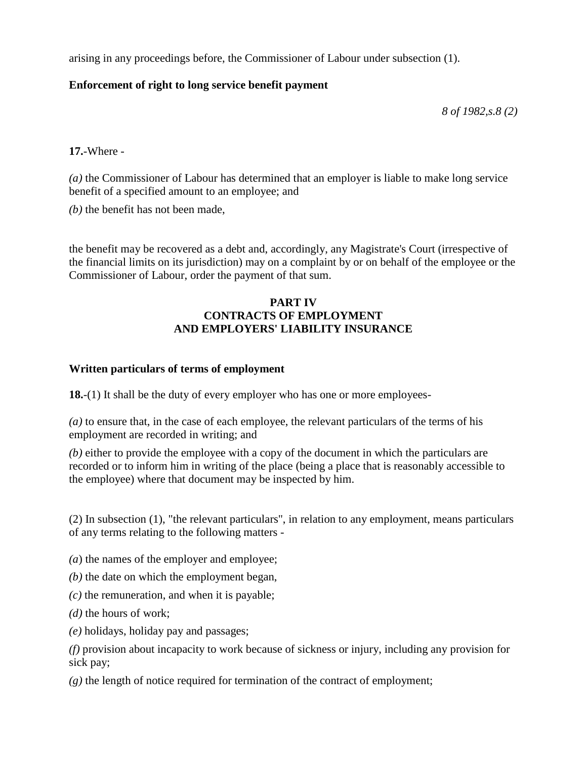arising in any proceedings before, the Commissioner of Labour under subsection (1).

#### **Enforcement of right to long service benefit payment**

*8 of 1982,s.8 (2)*

**17.**-Where -

*(a)* the Commissioner of Labour has determined that an employer is liable to make long service benefit of a specified amount to an employee; and

*(b)* the benefit has not been made,

the benefit may be recovered as a debt and, accordingly, any Magistrate's Court (irrespective of the financial limits on its jurisdiction) may on a complaint by or on behalf of the employee or the Commissioner of Labour, order the payment of that sum.

### **PART IV CONTRACTS OF EMPLOYMENT AND EMPLOYERS' LIABILITY INSURANCE**

### **Written particulars of terms of employment**

**18.**-(1) It shall be the duty of every employer who has one or more employees-

*(a)* to ensure that, in the case of each employee, the relevant particulars of the terms of his employment are recorded in writing; and

*(b)* either to provide the employee with a copy of the document in which the particulars are recorded or to inform him in writing of the place (being a place that is reasonably accessible to the employee) where that document may be inspected by him.

(2) In subsection (1), "the relevant particulars", in relation to any employment, means particulars of any terms relating to the following matters -

*(a*) the names of the employer and employee;

- *(b)* the date on which the employment began,
- *(c)* the remuneration, and when it is payable;
- *(d)* the hours of work;
- *(e)* holidays, holiday pay and passages;

*(f)* provision about incapacity to work because of sickness or injury, including any provision for sick pay;

*(g)* the length of notice required for termination of the contract of employment;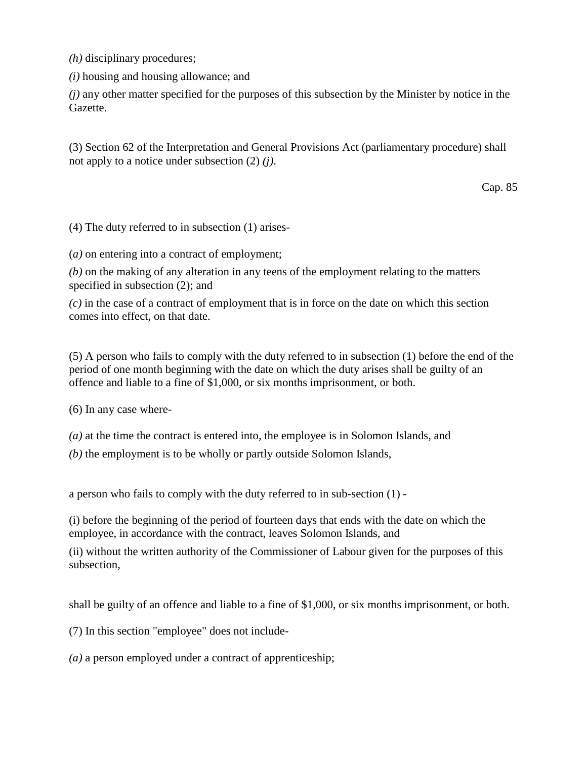*(h)* disciplinary procedures;

*(i)* housing and housing allowance; and

*(j)* any other matter specified for the purposes of this subsection by the Minister by notice in the Gazette.

(3) Section 62 of the Interpretation and General Provisions Act (parliamentary procedure) shall not apply to a notice under subsection (2) *(j)*.

Cap. 85

(4) The duty referred to in subsection (1) arises-

(*a)* on entering into a contract of employment;

*(b)* on the making of any alteration in any teens of the employment relating to the matters specified in subsection (2); and

*(c)* in the case of a contract of employment that is in force on the date on which this section comes into effect, on that date.

(5) A person who fails to comply with the duty referred to in subsection (1) before the end of the period of one month beginning with the date on which the duty arises shall be guilty of an offence and liable to a fine of \$1,000, or six months imprisonment, or both.

(6) In any case where-

*(a)* at the time the contract is entered into, the employee is in Solomon Islands, and

*(b)* the employment is to be wholly or partly outside Solomon Islands,

a person who fails to comply with the duty referred to in sub-section (1) -

(i) before the beginning of the period of fourteen days that ends with the date on which the employee, in accordance with the contract, leaves Solomon Islands, and

(ii) without the written authority of the Commissioner of Labour given for the purposes of this subsection,

shall be guilty of an offence and liable to a fine of \$1,000, or six months imprisonment, or both.

(7) In this section "employee" does not include-

*(a)* a person employed under a contract of apprenticeship;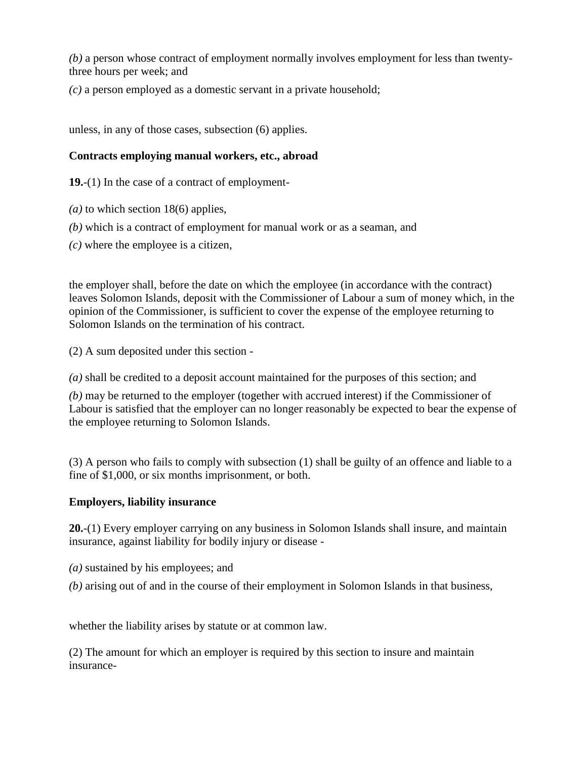*(b)* a person whose contract of employment normally involves employment for less than twentythree hours per week; and

*(c)* a person employed as a domestic servant in a private household;

unless, in any of those cases, subsection (6) applies.

## **Contracts employing manual workers, etc., abroad**

**19.**-(1) In the case of a contract of employment-

- *(a)* to which section 18(6) applies,
- *(b)* which is a contract of employment for manual work or as a seaman, and
- *(c)* where the employee is a citizen,

the employer shall, before the date on which the employee (in accordance with the contract) leaves Solomon Islands, deposit with the Commissioner of Labour a sum of money which, in the opinion of the Commissioner, is sufficient to cover the expense of the employee returning to Solomon Islands on the termination of his contract.

(2) A sum deposited under this section -

*(a)* shall be credited to a deposit account maintained for the purposes of this section; and

*(b)* may be returned to the employer (together with accrued interest) if the Commissioner of Labour is satisfied that the employer can no longer reasonably be expected to bear the expense of the employee returning to Solomon Islands.

(3) A person who fails to comply with subsection (1) shall be guilty of an offence and liable to a fine of \$1,000, or six months imprisonment, or both.

### **Employers, liability insurance**

**20.**-(1) Every employer carrying on any business in Solomon Islands shall insure, and maintain insurance, against liability for bodily injury or disease -

- *(a)* sustained by his employees; and
- *(b)* arising out of and in the course of their employment in Solomon Islands in that business,

whether the liability arises by statute or at common law.

(2) The amount for which an employer is required by this section to insure and maintain insurance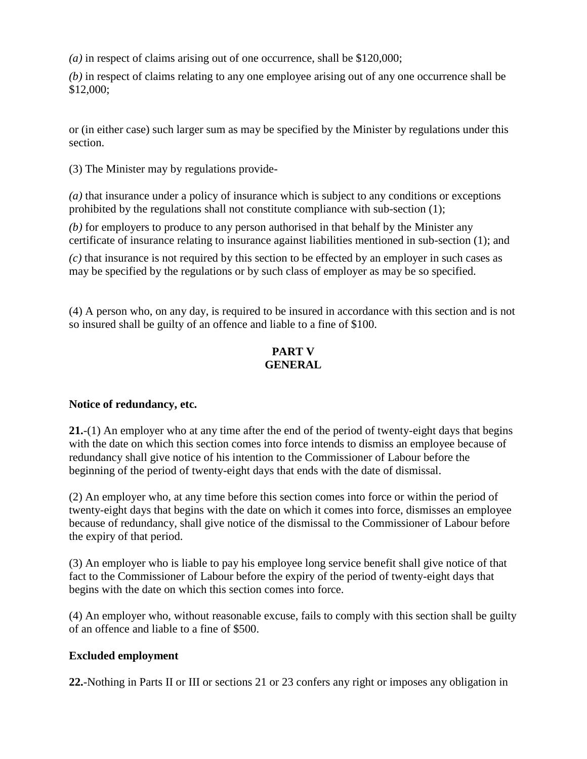*(a)* in respect of claims arising out of one occurrence, shall be \$120,000;

*(b)* in respect of claims relating to any one employee arising out of any one occurrence shall be \$12,000;

or (in either case) such larger sum as may be specified by the Minister by regulations under this section.

(3) The Minister may by regulations provide-

*(a)* that insurance under a policy of insurance which is subject to any conditions or exceptions prohibited by the regulations shall not constitute compliance with sub-section (1);

*(b)* for employers to produce to any person authorised in that behalf by the Minister any certificate of insurance relating to insurance against liabilities mentioned in sub-section (1); and

*(c)* that insurance is not required by this section to be effected by an employer in such cases as may be specified by the regulations or by such class of employer as may be so specified.

(4) A person who, on any day, is required to be insured in accordance with this section and is not so insured shall be guilty of an offence and liable to a fine of \$100.

## **PART V GENERAL**

### **Notice of redundancy, etc.**

**21.**-(1) An employer who at any time after the end of the period of twenty-eight days that begins with the date on which this section comes into force intends to dismiss an employee because of redundancy shall give notice of his intention to the Commissioner of Labour before the beginning of the period of twenty-eight days that ends with the date of dismissal.

(2) An employer who, at any time before this section comes into force or within the period of twenty-eight days that begins with the date on which it comes into force, dismisses an employee because of redundancy, shall give notice of the dismissal to the Commissioner of Labour before the expiry of that period.

(3) An employer who is liable to pay his employee long service benefit shall give notice of that fact to the Commissioner of Labour before the expiry of the period of twenty-eight days that begins with the date on which this section comes into force.

(4) An employer who, without reasonable excuse, fails to comply with this section shall be guilty of an offence and liable to a fine of \$500.

### **Excluded employment**

**22.**-Nothing in Parts II or III or sections 21 or 23 confers any right or imposes any obligation in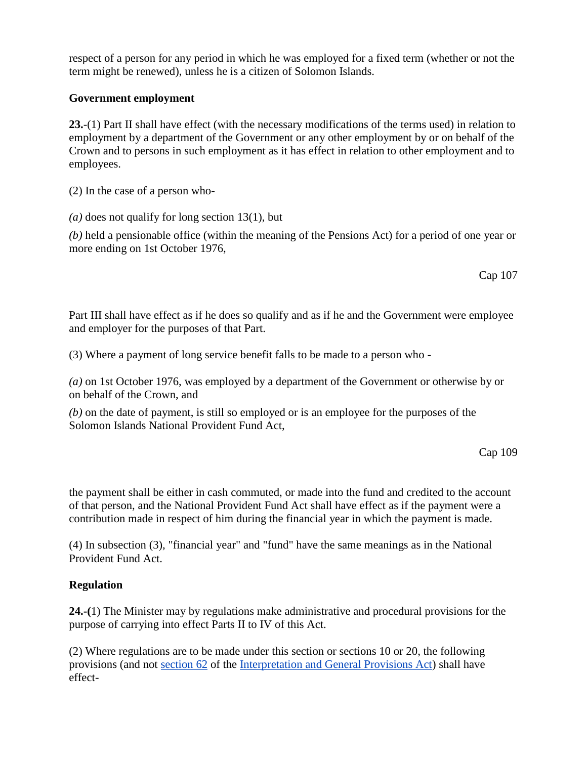respect of a person for any period in which he was employed for a fixed term (whether or not the term might be renewed), unless he is a citizen of Solomon Islands.

### **Government employment**

**23.**-(1) Part II shall have effect (with the necessary modifications of the terms used) in relation to employment by a department of the Government or any other employment by or on behalf of the Crown and to persons in such employment as it has effect in relation to other employment and to employees.

(2) In the case of a person who-

*(a)* does not qualify for long section 13(1), but

*(b)* held a pensionable office (within the meaning of the Pensions Act) for a period of one year or more ending on 1st October 1976,

Cap 107

Part III shall have effect as if he does so qualify and as if he and the Government were employee and employer for the purposes of that Part.

(3) Where a payment of long service benefit falls to be made to a person who -

*(a)* on 1st October 1976, was employed by a department of the Government or otherwise by or on behalf of the Crown, and

*(b)* on the date of payment, is still so employed or is an employee for the purposes of the Solomon Islands National Provident Fund Act,

Cap 109

the payment shall be either in cash commuted, or made into the fund and credited to the account of that person, and the National Provident Fund Act shall have effect as if the payment were a contribution made in respect of him during the financial year in which the payment is made.

(4) In subsection (3), "financial year" and "fund" have the same meanings as in the National Provident Fund Act.

## **Regulation**

**24.-(**1) The Minister may by regulations make administrative and procedural provisions for the purpose of carrying into effect Parts II to IV of this Act.

(2) Where regulations are to be made under this section or sections 10 or 20, the following provisions (and not [section 62](http://www.paclii.org/sb/legis/consol_act/iagpa408/index.html#s62) of the [Interpretation and General Provisions Act\)](http://www.paclii.org/sb/legis/consol_act/iagpa408/) shall have effect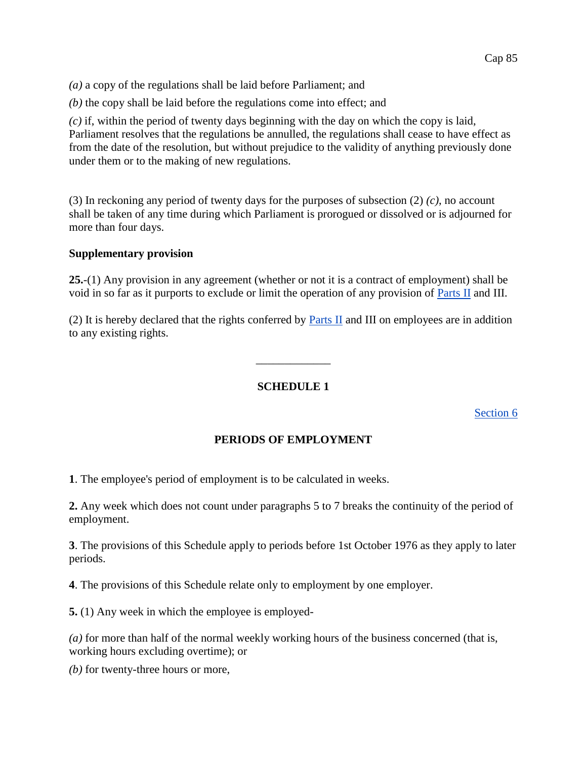*(a)* a copy of the regulations shall be laid before Parliament; and

*(b)* the copy shall be laid before the regulations come into effect; and

*(c)* if, within the period of twenty days beginning with the day on which the copy is laid, Parliament resolves that the regulations be annulled, the regulations shall cease to have effect as from the date of the resolution, but without prejudice to the validity of anything previously done under them or to the making of new regulations.

(3) In reckoning any period of twenty days for the purposes of subsection (2) *(c)*, no account shall be taken of any time during which Parliament is prorogued or dissolved or is adjourned for more than four days.

#### **Supplementary provision**

**25.**-(1) Any provision in any agreement (whether or not it is a contract of employment) shall be void in so far as it purports to exclude or limit the operation of any provision of [Parts II](http://www.paclii.org/sb/legis/consol_act/iagpa408/index.html#p2) and III.

(2) It is hereby declared that the rights conferred by [Parts II](http://www.paclii.org/sb/legis/consol_act/iagpa408/index.html#p2) and III on employees are in addition to any existing rights.

#### **SCHEDULE 1**

 $\overline{\phantom{a}}$ 

[Section 6](http://www.paclii.org/sb/legis/consol_act/iagpa408/index.html#s6)

### **PERIODS OF EMPLOYMENT**

**1**. The employee's period of employment is to be calculated in weeks.

**2.** Any week which does not count under paragraphs 5 to 7 breaks the continuity of the period of employment.

**3**. The provisions of this Schedule apply to periods before 1st October 1976 as they apply to later periods.

**4**. The provisions of this Schedule relate only to employment by one employer.

**5.** (1) Any week in which the employee is employed-

*(a)* for more than half of the normal weekly working hours of the business concerned (that is, working hours excluding overtime); or

*(b)* for twenty-three hours or more,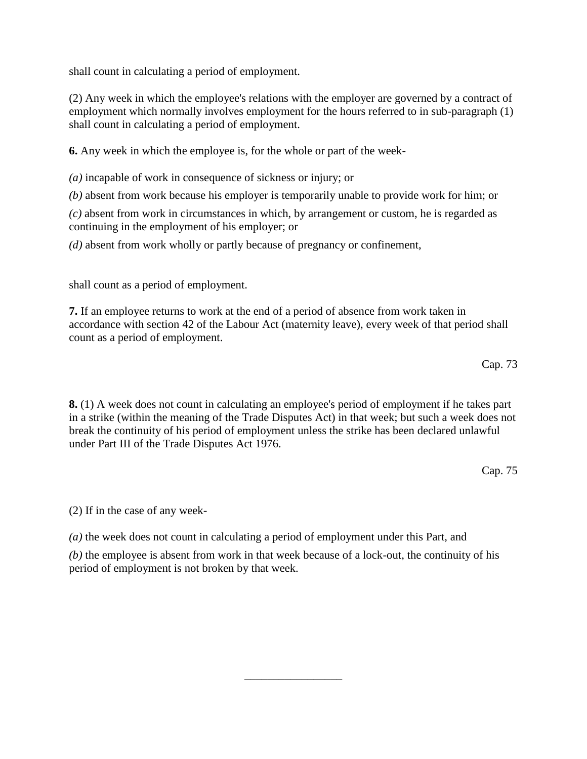shall count in calculating a period of employment.

(2) Any week in which the employee's relations with the employer are governed by a contract of employment which normally involves employment for the hours referred to in sub-paragraph (1) shall count in calculating a period of employment.

**6.** Any week in which the employee is, for the whole or part of the week-

*(a)* incapable of work in consequence of sickness or injury; or

*(b)* absent from work because his employer is temporarily unable to provide work for him; or

*(c)* absent from work in circumstances in which, by arrangement or custom, he is regarded as continuing in the employment of his employer; or

*(d)* absent from work wholly or partly because of pregnancy or confinement,

shall count as a period of employment.

**7.** If an employee returns to work at the end of a period of absence from work taken in accordance with section 42 of the Labour Act (maternity leave), every week of that period shall count as a period of employment.

Cap. 73

**8.** (1) A week does not count in calculating an employee's period of employment if he takes part in a strike (within the meaning of the Trade Disputes Act) in that week; but such a week does not break the continuity of his period of employment unless the strike has been declared unlawful under Part III of the Trade Disputes Act 1976.

Cap. 75

(2) If in the case of any week-

*(a)* the week does not count in calculating a period of employment under this Part, and

*(b)* the employee is absent from work in that week because of a lock-out, the continuity of his period of employment is not broken by that week.

\_\_\_\_\_\_\_\_\_\_\_\_\_\_\_\_\_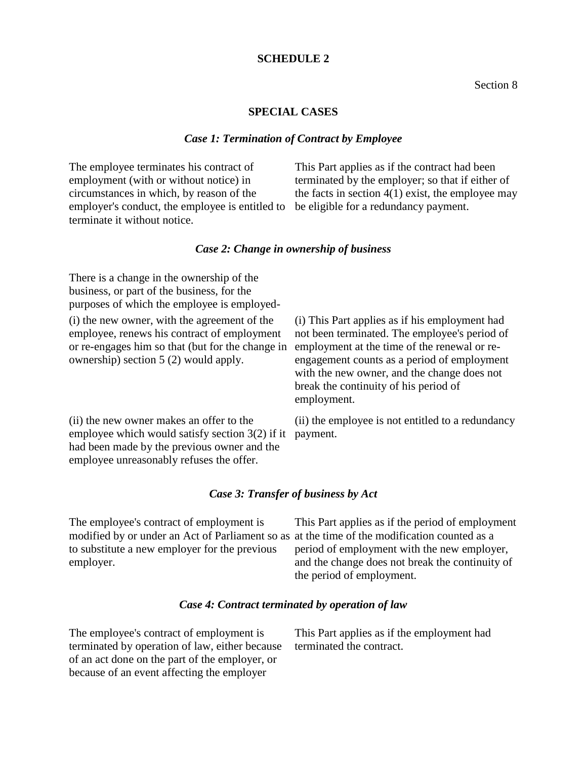#### **SCHEDULE 2**

#### Section 8

#### **SPECIAL CASES**

#### *Case 1: Termination of Contract by Employee*

The employee terminates his contract of employment (with or without notice) in circumstances in which, by reason of the employer's conduct, the employee is entitled to terminate it without notice.

This Part applies as if the contract had been terminated by the employer; so that if either of the facts in section  $4(1)$  exist, the employee may be eligible for a redundancy payment.

#### *Case 2: Change in ownership of business*

There is a change in the ownership of the business, or part of the business, for the purposes of which the employee is employed-

(i) the new owner, with the agreement of the employee, renews his contract of employment or re-engages him so that (but for the change in ownership) section 5 (2) would apply.

(i) This Part applies as if his employment had not been terminated. The employee's period of employment at the time of the renewal or reengagement counts as a period of employment with the new owner, and the change does not break the continuity of his period of employment.

(ii) the new owner makes an offer to the employee which would satisfy section 3(2) if it payment. had been made by the previous owner and the employee unreasonably refuses the offer.

(ii) the employee is not entitled to a redundancy

#### *Case 3: Transfer of business by Act*

The employee's contract of employment is modified by or under an Act of Parliament so as at the time of the modification counted as a to substitute a new employer for the previous employer.

This Part applies as if the period of employment period of employment with the new employer, and the change does not break the continuity of the period of employment.

#### *Case 4: Contract terminated by operation of law*

The employee's contract of employment is terminated by operation of law, either because of an act done on the part of the employer, or because of an event affecting the employer

This Part applies as if the employment had terminated the contract.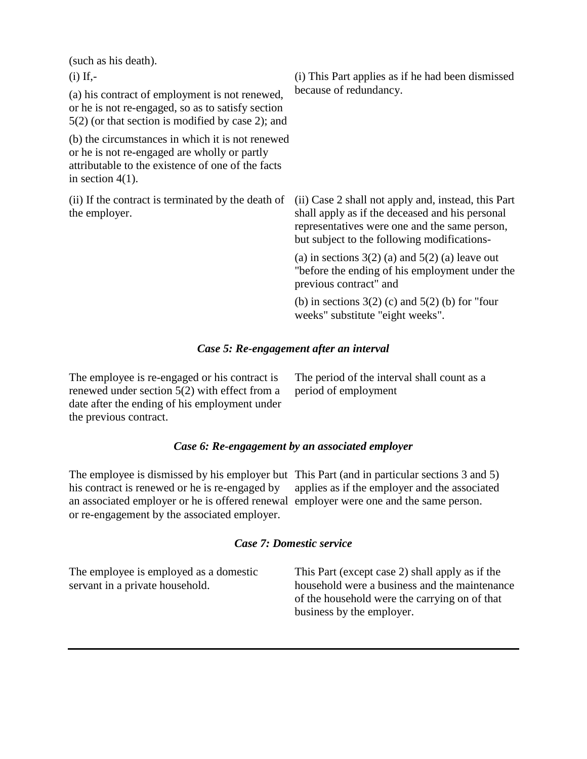(such as his death). (i) If,- (a) his contract of employment is not renewed, or he is not re-engaged, so as to satisfy section 5(2) (or that section is modified by case 2); and (b) the circumstances in which it is not renewed or he is not re-engaged are wholly or partly attributable to the existence of one of the facts in section 4(1). (i) This Part applies as if he had been dismissed because of redundancy. (ii) If the contract is terminated by the death of the employer. (ii) Case 2 shall not apply and, instead, this Part shall apply as if the deceased and his personal representatives were one and the same person, but subject to the following modifications- (a) in sections  $3(2)$  (a) and  $5(2)$  (a) leave out "before the ending of his employment under the previous contract" and (b) in sections  $3(2)$  (c) and  $5(2)$  (b) for "four weeks" substitute "eight weeks".

#### *Case 5: Re-engagement after an interval*

The employee is re-engaged or his contract is renewed under section 5(2) with effect from a date after the ending of his employment under the previous contract.

The period of the interval shall count as a period of employment

#### *Case 6: Re-engagement by an associated employer*

The employee is dismissed by his employer but This Part (and in particular sections 3 and 5) his contract is renewed or he is re-engaged by an associated employer or he is offered renewal employer were one and the same person. or re-engagement by the associated employer.

applies as if the employer and the associated

#### *Case 7: Domestic service*

The employee is employed as a domestic servant in a private household.

This Part (except case 2) shall apply as if the household were a business and the maintenance of the household were the carrying on of that business by the employer.